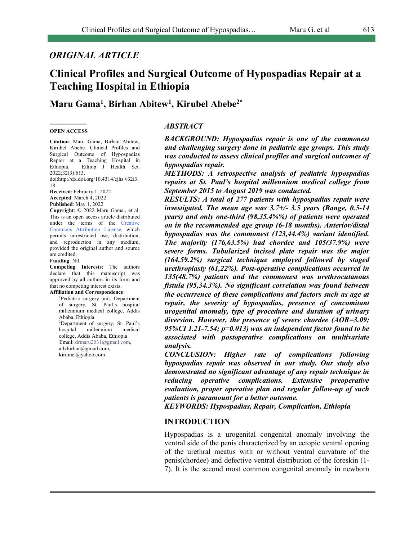# *ORIGINAL ARTICLE*

# **Clinical Profiles and Surgical Outcome of Hypospadias Repair at a Teaching Hospital in Ethiopia**

**Maru Gama1 , Birhan Abitew1 , Kirubel Abebe2\***

#### **OPEN ACCESS**

**Citation**: Maru Gama, Birhan Abitew, Kirubel Abebe. Clinical Profiles and Surgical Outcome of Hypospadias Repair at a Teaching Hospital in Ethiopia. Ethiop J Health Sci. 2022;32(3):613.

doi:http://dx.doi.org/10.4314/ejhs.v32i3. 18

**Received**: February 1, 2022 **Accepted**: March 4, 2022 **Published**: May 1, 2022

**Copyright**: © 2022 Maru Gama., et al. This is an open access article distributed under the terms of the Creative Commons Attribution License, which permits unrestricted use, distribution, and reproduction in any medium, provided the original author and source are credited.

#### **Funding**: Nil

**Competing Interests**: The authors declare that this manuscript was approved by all authors in its form and that no competing interest exists. **Affiliation and Correspondence**:

1 Pediatric surgery unit, Department of surgery, St. Paul's hospital millennium medical college, Addis Ababa, Ethiopia 2 Department of surgery, St. Paul's hospital millennium medical college, Addis Ababa, Ethiopia Email: drmaru2031@gmail.com, allzbirhan@gmail.com, kirumel@yahoo.com

*ABSTRACT*

*BACKGROUND: Hypospadias repair is one of the commonest and challenging surgery done in pediatric age groups. This study was conducted to assess clinical profiles and surgical outcomes of hypospadias repair.*

*METHODS: A retrospective analysis of pediatric hypospadias repairs at St. Paul's hospital millennium medical college from September 2015 to August 2019 was conducted.* 

*RESULTS: A total of 277 patients with hypospadias repair were investigated. The mean age was 3.7+/- 3.5 years (Range, 0.5-14 years) and only one-third (98,35.4%%) of patients were operated on in the recommended age group (6-18 months). Anterior/distal hypospadias was the commonest (123,44.4%) variant identified. The majority (176,63.5%) had chordee and 105(37.9%) were severe forms. Tubularized incised plate repair was the major (164,59.2%) surgical technique employed followed by staged urethroplasty (61,22%). Post-operative complications occurred in 135(48.7%) patients and the commonest was urethrocutanous fistula (95,34.3%). No significant correlation was found between the occurrence of these complications and factors such as age at repair, the severity of hypospadias, presence of concomitant urogenital anomaly, type of procedure and duration of urinary diversion. However, the presence of severe chordee (AOR=3.09; 95%CI 1.21-7.54; p=0.013) was an independent factor found to be associated with postoperative complications on multivariate analysis.*

*CONCLUSION: Higher rate of complications following hypospadias repair was observed in our study. Our study also demonstrated no significant advantage of any repair technique in reducing operative complications. Extensive preoperative evaluation, proper operative plan and regular follow-up of such patients is paramount for a better outcome.*

*KEYWORDS: Hypospadias, Repair, Complication, Ethiopia*

### **INTRODUCTION**

Hypospadias is a urogenital congenital anomaly involving the ventral side of the penis characterized by an ectopic ventral opening of the urethral meatus with or without ventral curvature of the penis(chordee) and defective ventral distribution of the foreskin (1- 7). It is the second most common congenital anomaly in newborn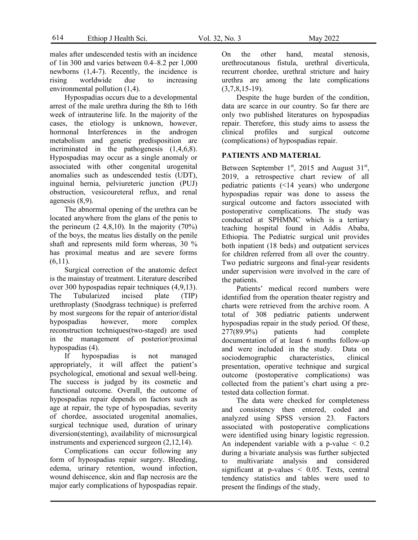males after undescended testis with an incidence of 1in 300 and varies between 0.4–8.2 per 1,000 newborns (1,4-7). Recently, the incidence is rising worldwide due to increasing environmental pollution (1,4).

Hypospadias occurs due to a developmental arrest of the male urethra during the 8th to 16th week of intrauterine life. In the majority of the cases, the etiology is unknown, however, hormonal Interferences in the androgen metabolism and genetic predisposition are incriminated in the pathogenesis (1,4,6,8). Hypospadias may occur as a single anomaly or associated with other congenital urogenital anomalies such as undescended testis (UDT), inguinal hernia, pelviureteric junction (PUJ) obstruction, vesicoureteral reflux, and renal agenesis (8,9).

The abnormal opening of the urethra can be located anywhere from the glans of the penis to the perineum  $(2, 4, 8, 10)$ . In the majority  $(70\%)$ of the boys, the meatus lies distally on the penile shaft and represents mild form whereas, 30 % has proximal meatus and are severe forms  $(6,11)$ .

Surgical correction of the anatomic defect is the mainstay of treatment. Literature described over 300 hypospadias repair techniques (4,9,13). The Tubularized incised plate (TIP) urethroplasty (Snodgrass technique) is preferred by most surgeons for the repair of anterior/distal hypospadias however, more complex reconstruction techniques(two-staged) are used in the management of posterior/proximal hypospadias (4).

If hypospadias is not managed appropriately, it will affect the patient's psychological, emotional and sexual well-being. The success is judged by its cosmetic and functional outcome. Overall, the outcome of hypospadias repair depends on factors such as age at repair, the type of hypospadias, severity of chordee, associated urogenital anomalies, surgical technique used, duration of urinary diversion(stenting), availability of microsurgical instruments and experienced surgeon (2,12,14).

Complications can occur following any form of hypospadias repair surgery. Bleeding, edema, urinary retention, wound infection, wound dehiscence, skin and flap necrosis are the major early complications of hypospadias repair. On the other hand, meatal stenosis, urethrocutanous fistula, urethral diverticula, recurrent chordee, urethral stricture and hairy urethra are among the late complications  $(3,7,8,15-19)$ .

Despite the huge burden of the condition, data are scarce in our country. So far there are only two published literatures on hypospadias repair. Therefore, this study aims to assess the clinical profiles and surgical outcome (complications) of hypospadias repair.

### **PATIENTS AND MATERIAL**

Between September  $1<sup>st</sup>$ , 2015 and August  $31<sup>st</sup>$ , 2019, a retrospective chart review of all pediatric patients (<14 years) who undergone hypospadias repair was done to assess the surgical outcome and factors associated with postoperative complications. The study was conducted at SPHMMC which is a tertiary teaching hospital found in Addis Ababa, Ethiopia. The Pediatric surgical unit provides both inpatient (18 beds) and outpatient services for children referred from all over the country. Two pediatric surgeons and final-year residents under supervision were involved in the care of the patients.

Patients' medical record numbers were identified from the operation theater registry and charts were retrieved from the archive room. A total of 308 pediatric patients underwent hypospadias repair in the study period. Of these, 277(89.9%) patients had complete documentation of at least 6 months follow-up and were included in the study. Data on sociodemographic characteristics, clinical presentation, operative technique and surgical outcome (postoperative complications) was collected from the patient's chart using a pretested data collection format.

The data were checked for completeness and consistency then entered, coded and analyzed using SPSS version 23. Factors associated with postoperative complications were identified using binary logistic regression. An independent variable with a p-value  $\leq 0.2$ during a bivariate analysis was further subjected to multivariate analysis and considered significant at p-values  $\leq$  0.05. Texts, central tendency statistics and tables were used to present the findings of the study,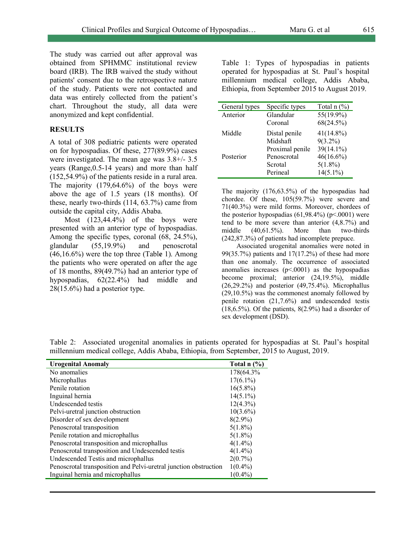The study was carried out after approval was obtained from SPHMMC institutional review board (IRB). The IRB waived the study without patients' consent due to the retrospective nature of the study. Patients were not contacted and data was entirely collected from the patient's chart. Throughout the study, all data were anonymized and kept confidential.

#### **RESULTS**

A total of 308 pediatric patients were operated on for hypospadias. Of these, 277(89.9%) cases were investigated. The mean age was 3.8+/- 3.5 years (Range,0.5-14 years) and more than half (152,54.9%) of the patients reside in a rural area. The majority (179,64.6%) of the boys were above the age of 1.5 years (18 months). Of these, nearly two-thirds (114, 63.7%) came from outside the capital city, Addis Ababa.

Most (123,44.4%) of the boys were presented with an anterior type of hypospadias. Among the specific types, coronal (68, 24.5%), glandular (55,19.9%) and penoscrotal (46,16.6%) were the top three (Tabl**e** 1). Among the patients who were operated on after the age of 18 months, 89(49.7%) had an anterior type of hypospadias, 62(22.4%) had middle and 28(15.6%) had a posterior type.

Table 1: Types of hypospadias in patients operated for hypospadias at St. Paul's hospital millennium medical college, Addis Ababa, Ethiopia, from September 2015 to August 2019.

| General types | Specific types  | Total $n$ $\left(\frac{9}{6}\right)$ |
|---------------|-----------------|--------------------------------------|
| Anterior      | Glandular       | 55(19.9%)                            |
|               | Coronal         | 68(24.5%)                            |
| Middle        | Distal penile   | $41(14.8\%)$                         |
|               | Midshaft        | $9(3.2\%)$                           |
|               | Proximal penile | 39(14.1%)                            |
| Posterior     | Penoscrotal     | $46(16.6\%)$                         |
|               | Scrotal         | $5(1.8\%)$                           |
|               | Perineal        | $14(5.1\%)$                          |

The majority (176,63.5%) of the hypospadias had chordee. Of these, 105(59.7%) were severe and 71(40.3%) were mild forms. Moreover, chordees of the posterior hypospadias  $(61,98,4\%)$  (p<.0001) were tend to be more severe than anterior (4,8.7%) and middle (40,61.5%). More than two-thirds (242,87.3%) of patients had incomplete prepuce.

Associated urogenital anomalies were noted in 99(35.7%) patients and 17(17.2%) of these had more than one anomaly. The occurrence of associated anomalies increases  $(p< .0001)$  as the hypospadias become proximal; anterior (24,19.5%), middle (26,29.2%) and posterior (49,75.4%). Microphallus (29,10.5%) was the commonest anomaly followed by penile rotation (21,7.6%) and undescended testis  $(18,6.5\%)$ . Of the patients,  $8(2.9\%)$  had a disorder of sex development (DSD).

| <b>Urogenital Anomaly</b>                                        | Total $n$ $\left(\frac{9}{6}\right)$ |
|------------------------------------------------------------------|--------------------------------------|
| No anomalies                                                     | 178(64.3%                            |
| Microphallus                                                     | $17(6.1\%)$                          |
| Penile rotation                                                  | $16(5.8\%)$                          |
| Inguinal hernia                                                  | $14(5.1\%)$                          |
| Undescended testis                                               | $12(4.3\%)$                          |
| Pelvi-uretral junction obstruction                               | $10(3.6\%)$                          |
| Disorder of sex development                                      | $8(2.9\%)$                           |
| Penoscrotal transposition                                        | $5(1.8\%)$                           |
| Penile rotation and microphallus                                 | $5(1.8\%)$                           |
| Penoscrotal transposition and microphallus                       | $4(1.4\%)$                           |
| Penoscrotal transposition and Undescended testis                 | $4(1.4\%)$                           |
| Undescended Testis and microphallus                              | $2(0.7\%)$                           |
| Penoscrotal transposition and Pelvi-uretral junction obstruction | $1(0.4\%)$                           |
| Inguinal hernia and microphallus                                 | $1(0.4\%)$                           |

Table 2: Associated urogenital anomalies in patients operated for hypospadias at St. Paul's hospital millennium medical college, Addis Ababa, Ethiopia, from September, 2015 to August, 2019.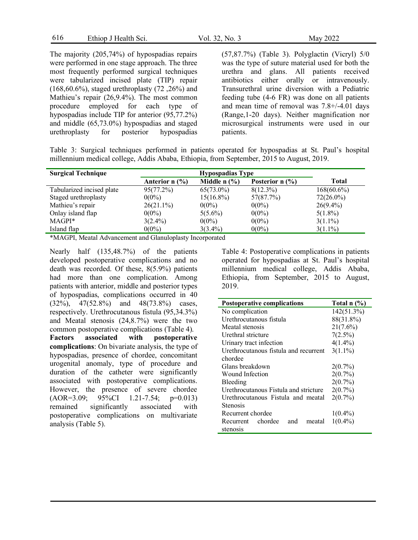| 616 | Ethiop J Health Sci. | Vol. 32, No. 3 | May 2022 |
|-----|----------------------|----------------|----------|
|-----|----------------------|----------------|----------|

The majority (205,74%) of hypospadias repairs were performed in one stage approach. The three most frequently performed surgical techniques were tabularized incised plate (TIP) repair (168,60.6%), staged urethroplasty (72 ,26%) and Mathieu's repair (26,9.4%). The most common procedure employed for each type of hypospadias include TIP for anterior (95,77.2%) and middle (65,73.0%) hypospadias and staged urethroplasty for posterior hypospadias

(57,87.7%) (Table 3). Polyglactin (Vicryl) 5/0 was the type of suture material used for both the urethra and glans. All patients received antibiotics either orally or intravenously. Transurethral urine diversion with a Pediatric feeding tube (4-6 FR) was done on all patients and mean time of removal was 7.8+/-4.01 days (Range,1-20 days). Neither magnification nor microsurgical instruments were used in our patients.

Table 3: Surgical techniques performed in patients operated for hypospadias at St. Paul's hospital millennium medical college, Addis Ababa, Ethiopia, from September, 2015 to August, 2019.

| <b>Surgical Technique</b> | <b>Hypospadias Type</b> |                                       |                   |               |
|---------------------------|-------------------------|---------------------------------------|-------------------|---------------|
|                           | Anterior $n$ (%)        | Middle $n$ $\left(\frac{9}{6}\right)$ | Posterior $n$ (%) | <b>Total</b>  |
| Tabularized incised plate | 95(77.2%)               | $65(73.0\%)$                          | $8(12.3\%)$       | $168(60.6\%)$ |
| Staged urethroplasty      | $0(0\%)$                | $15(16.8\%)$                          | 57(87.7%)         | $72(26.0\%)$  |
| Mathieu's repair          | $26(21.1\%)$            | $0(0\%)$                              | $0(0\%)$          | $26(9.4\%)$   |
| Onlay island flap         | $0(0\%)$                | $5(5.6\%)$                            | $0(0\%)$          | $5(1.8\%)$    |
| MAGPI*                    | $3(2.4\%)$              | $0(0\%)$                              | $0(0\%)$          | $3(1.1\%)$    |
| Island flap               | $0(0\%)$                | $3(3.4\%)$                            | $0(0\%)$          | $3(1.1\%)$    |

\*MAGPI, Meatal Advancement and Glanuloplasty Incorporated

Nearly half (135,48.7%) of the patients developed postoperative complications and no death was recorded. Of these, 8(5.9%) patients had more than one complication. Among patients with anterior, middle and posterior types of hypospadias, complications occurred in 40 (32%), 47(52.8%) and 48(73.8%) cases, respectively. Urethrocutanous fistula (95,34.3%) and Meatal stenosis (24,8.7%) were the two common postoperative complications (Table 4). **Factors associated with postoperative complications**: On bivariate analysis, the type of hypospadias, presence of chordee, concomitant urogenital anomaly, type of procedure and duration of the catheter were significantly associated with postoperative complications. However, the presence of severe chordee (AOR=3.09; 95%CI 1.21-7.54; p=0.013) remained significantly associated with postoperative complications on multivariate analysis (Table 5).

Table 4: Postoperative complications in patients operated for hypospadias at St. Paul's hospital millennium medical college, Addis Ababa, Ethiopia, from September, 2015 to August, 2019.

| <b>Postoperative complications</b>    | Total $n$ $\left(\frac{9}{6}\right)$ |  |  |
|---------------------------------------|--------------------------------------|--|--|
| No complication                       | 142(51.3%)                           |  |  |
| Urethrocutanous fistula               | 88(31.8%)                            |  |  |
| Meatal stenosis                       | $21(7.6\%)$                          |  |  |
| Urethral stricture                    | 7(2.5%)                              |  |  |
| Urinary tract infection               | $4(1.4\%)$                           |  |  |
| Urethrocutanous fistula and recurrent | $3(1.1\%)$                           |  |  |
| chordee                               |                                      |  |  |
| Glans breakdown                       | $2(0.7\%)$                           |  |  |
| Wound Infection                       | $2(0.7\%)$                           |  |  |
| Bleeding                              | $2(0.7\%)$                           |  |  |
| Urethrocutanous Fistula and stricture | $2(0.7\%)$                           |  |  |
| Urethrocutanous Fistula and meatal    | $2(0.7\%)$                           |  |  |
| Stenosis                              |                                      |  |  |
| Recurrent chordee                     | $1(0.4\%)$                           |  |  |
| chordee<br>and<br>Recurrent<br>meatal | $1(0.4\%)$                           |  |  |
| stenosis                              |                                      |  |  |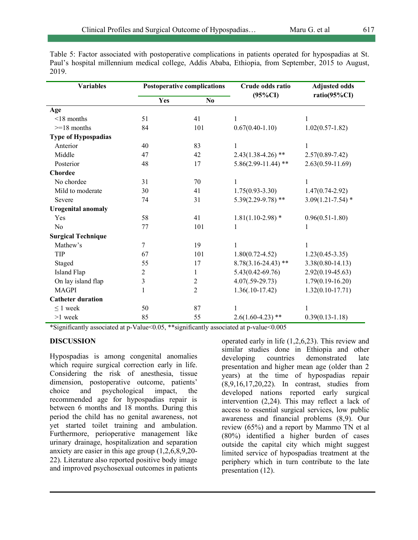Table 5: Factor associated with postoperative complications in patients operated for hypospadias at St. Paul's hospital millennium medical college, Addis Ababa, Ethiopia, from September, 2015 to August, 2019.

| <b>Variables</b>          | <b>Postoperative complications</b> |                         | Crude odds ratio        | <b>Adjusted odds</b>  |
|---------------------------|------------------------------------|-------------------------|-------------------------|-----------------------|
|                           | Yes                                | N <sub>0</sub>          | $(95\%CI)$              | ratio(95%CI)          |
| Age                       |                                    |                         |                         |                       |
| $\leq$ 18 months          | 51                                 | 41                      | 1                       | 1                     |
| $>=18$ months             | 84                                 | 101                     | $0.67(0.40-1.10)$       | $1.02(0.57-1.82)$     |
| Type of Hypospadias       |                                    |                         |                         |                       |
| Anterior                  | 40                                 | 83                      | $\mathbf{1}$            | 1                     |
| Middle                    | 47                                 | 42                      | $2.43(1.38-4.26)$ **    | $2.57(0.89 - 7.42)$   |
| Posterior                 | 48                                 | 17                      | $5.86(2.99 - 11.44)$ ** | $2.63(0.59 - 11.69)$  |
| <b>Chordee</b>            |                                    |                         |                         |                       |
| No chordee                | 31                                 | 70                      | 1                       | 1                     |
| Mild to moderate          | 30                                 | 41                      | $1.75(0.93 - 3.30)$     | $1.47(0.74 - 2.92)$   |
| Severe                    | 74                                 | 31                      | $5.39(2.29-9.78)$ **    | $3.09(1.21 - 7.54)$ * |
| <b>Urogenital anomaly</b> |                                    |                         |                         |                       |
| Yes                       | 58                                 | 41                      | $1.81(1.10-2.98)$ *     | $0.96(0.51 - 1.80)$   |
| N <sub>o</sub>            | 77                                 | 101                     | 1                       | 1                     |
| <b>Surgical Technique</b> |                                    |                         |                         |                       |
| Mathew's                  | 7                                  | 19                      |                         |                       |
| TIP                       | 67                                 | 101                     | $1.80(0.72 - 4.52)$     | $1.23(0.45 - 3.35)$   |
| Staged                    | 55                                 | 17                      | $8.78(3.16-24.43)$ **   | $3.38(0.80 - 14.13)$  |
| <b>Island Flap</b>        | 2                                  | 1                       | $5.43(0.42 - 69.76)$    | $2.92(0.19-45.63)$    |
| On lay island flap        | $\mathfrak{Z}$                     | $\overline{\mathbf{c}}$ | $4.07(.59-29.73)$       | $1.79(0.19 - 16.20)$  |
| <b>MAGPI</b>              | $\mathbf{1}$                       | 2                       | $1.36(.10-17.42)$       | $1.32(0.10 - 17.71)$  |
| <b>Catheter duration</b>  |                                    |                         |                         |                       |
| $\leq 1$ week             | 50                                 | 87                      | 1                       | 1                     |
| $>1$ week                 | 85                                 | 55                      | $2.6(1.60 - 4.23)$ **   | $0.39(0.13 - 1.18)$   |

\*Significantly associated at p-Value<0.05, \*\*significantly associated at p-value<0.005

## **DISCUSSION**

Hypospadias is among congenital anomalies which require surgical correction early in life. Considering the risk of anesthesia, tissue dimension, postoperative outcome, patients' choice and psychological impact, the recommended age for hypospadias repair is between 6 months and 18 months. During this period the child has no genital awareness, not yet started toilet training and ambulation. Furthermore, perioperative management like urinary drainage, hospitalization and separation anxiety are easier in this age group (1,2,6,8,9,20- 22). Literature also reported positive body image and improved psychosexual outcomes in patients operated early in life (1,2,6,23). This review and similar studies done in Ethiopia and other<br>developing countries demonstrated late developing countries demonstrated late presentation and higher mean age (older than 2 years) at the time of hypospadias repair (8,9,16,17,20,22). In contrast, studies from developed nations reported early surgical intervention (2,24). This may reflect a lack of access to essential surgical services, low public awareness and financial problems (8,9). Our review (65%) and a report by Mammo TN et al (80%) identified a higher burden of cases outside the capital city which might suggest limited service of hypospadias treatment at the periphery which in turn contribute to the late presentation (12).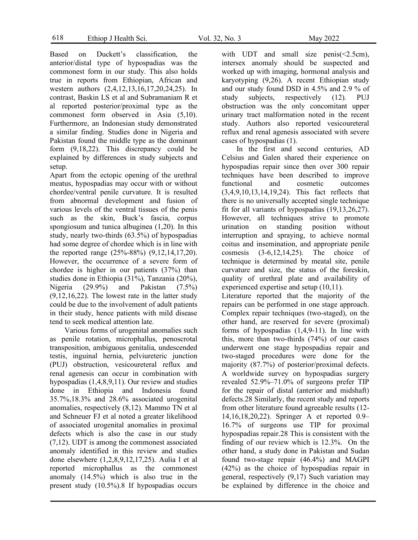618 Ethiop J Health Sci. Vol. 32, No. 3 May 2022

Based on Duckett's classification, the anterior/distal type of hypospadias was the commonest form in our study. This also holds true in reports from Ethiopian, African and western authors (2,4,12,13,16,17,20,24,25). In contrast, Baskin LS et al and Subramaniam R et al reported posterior/proximal type as the commonest form observed in Asia (5,10). Furthermore, an Indonesian study demonstrated a similar finding. Studies done in Nigeria and Pakistan found the middle type as the dominant form (9,18,22). This discrepancy could be explained by differences in study subjects and setup.

Apart from the ectopic opening of the urethral meatus, hypospadias may occur with or without chordee/ventral penile curvature. It is resulted from abnormal development and fusion of various levels of the ventral tissues of the penis such as the skin, Buck's fascia, corpus spongiosum and tunica albuginea (1,20). In this study, nearly two-thirds (63.5%) of hypospadias had some degree of chordee which is in line with the reported range (25%-88%) (9,12,14,17,20). However, the occurrence of a severe form of chordee is higher in our patients (37%) than studies done in Ethiopia (31%), Tanzania (20%), Nigeria (29.9%) and Pakistan (7.5%) (9,12,16,22). The lowest rate in the latter study could be due to the involvement of adult patients in their study, hence patients with mild disease tend to seek medical attention late.

Various forms of urogenital anomalies such as penile rotation, microphallus, penoscrotal transposition, ambiguous genitalia, undescended testis, inguinal hernia, pelviureteric junction (PUJ) obstruction, vesicoureteral reflux and renal agenesis can occur in combination with hypospadias (1,4,8,9,11). Our review and studies done in Ethiopia and Indonesia found 35.7%,18.3% and 28.6% associated urogenital anomalies, respectively (8,12). Mammo TN et al and Schneuer FJ et al noted a greater likelihood of associated urogenital anomalies in proximal defects which is also the case in our study (7,12). UDT is among the commonest associated anomaly identified in this review and studies done elsewhere (1,2,8,9,12,17,25). Aulia l et al reported microphallus as the commonest anomaly (14.5%) which is also true in the present study (10.5%).8 If hypospadias occurs with UDT and small size penis( $\leq$ 2.5cm), intersex anomaly should be suspected and worked up with imaging, hormonal analysis and karyotyping (9,26). A recent Ethiopian study and our study found DSD in 4.5% and 2.9 % of study subjects, respectively (12). PUJ obstruction was the only concomitant upper urinary tract malformation noted in the recent study. Authors also reported vesicoureteral reflux and renal agenesis associated with severe cases of hypospadias (1).

In the first and second centuries, AD Celsius and Galen shared their experience on hypospadias repair since then over 300 repair techniques have been described to improve functional and cosmetic outcomes (3,4,9,10,13,14,19,24). This fact reflects that there is no universally accepted single technique fit for all variants of hypospadias (19,13,26,27). However, all techniques strive to promote urination on standing position without interruption and spraying, to achieve normal coitus and insemination, and appropriate penile cosmesis (3-6,12,14,25). The choice of technique is determined by meatal site, penile curvature and size, the status of the foreskin, quality of urethral plate and availability of experienced expertise and setup (10,11).

Literature reported that the majority of the repairs can be performed in one stage approach. Complex repair techniques (two-staged), on the other hand, are reserved for severe (proximal) forms of hypospadias (1,4,9-11). In line with this, more than two-thirds (74%) of our cases underwent one stage hypospadias repair and two-staged procedures were done for the majority (87.7%) of posterior/proximal defects. A worldwide survey on hypospadias surgery revealed 52.9%–71.0% of surgeons prefer TIP for the repair of distal (anterior and midshaft) defects.28 Similarly, the recent study and reports from other literature found agreeable results (12- 14,16,18,20,22). Springer A et reported 0.9– 16.7% of surgeons use TIP for proximal hypospadias repair.28 This is consistent with the finding of our review which is 12.3%. On the other hand, a study done in Pakistan and Sudan found two-stage repair (46.4%) and MAGPI (42%) as the choice of hypospadias repair in general, respectively (9,17) Such variation may be explained by difference in the choice and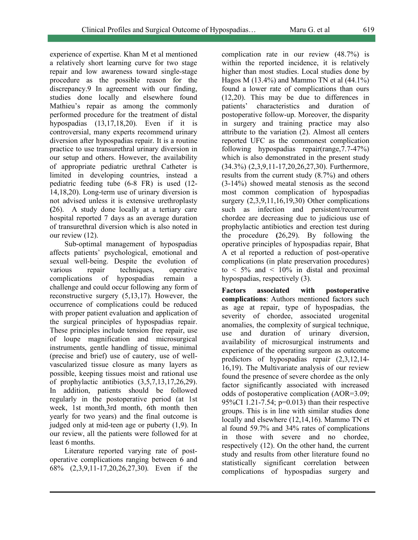experience of expertise. Khan M et al mentioned a relatively short learning curve for two stage repair and low awareness toward single-stage procedure as the possible reason for the discrepancy.9 In agreement with our finding, studies done locally and elsewhere found Mathieu's repair as among the commonly performed procedure for the treatment of distal hypospadias (13,17,18,20). Even if it is controversial, many experts recommend urinary diversion after hypospadias repair. It is a routine practice to use transurethral urinary diversion in our setup and others. However, the availability of appropriate pediatric urethral Catheter is limited in developing countries, instead a pediatric feeding tube (6-8 FR) is used (12- 14,18,20). Long-term use of urinary diversion is not advised unless it is extensive urethroplasty **(**26). A study done locally at a tertiary care hospital reported 7 days as an average duration of transurethral diversion which is also noted in our review (12).

Sub-optimal management of hypospadias affects patients' psychological, emotional and sexual well-being. Despite the evolution of various repair techniques, operative complications of hypospadias remain a challenge and could occur following any form of reconstructive surgery (5,13,17). However, the occurrence of complications could be reduced with proper patient evaluation and application of the surgical principles of hypospadias repair. These principles include tension free repair, use of loupe magnification and microsurgical instruments, gentle handling of tissue, minimal (precise and brief) use of cautery, use of wellvascularized tissue closure as many layers as possible, keeping tissues moist and rational use of prophylactic antibiotics (3,5,7,13,17,26,29). In addition, patients should be followed regularly in the postoperative period (at 1st week, 1st month,3rd month, 6th month then yearly for two years) and the final outcome is judged only at mid-teen age or puberty (1,9). In our review, all the patients were followed for at least 6 months.

Literature reported varying rate of postoperative complications ranging between 6 and 68% (2,3,9,11-17,20,26,27,30). Even if the complication rate in our review (48.7%) is within the reported incidence, it is relatively higher than most studies. Local studies done by Hagos M (13.4%) and Mammo TN et al (44.1%) found a lower rate of complications than ours (12,20). This may be due to differences in patients' characteristics and duration of postoperative follow-up. Moreover, the disparity in surgery and training practice may also attribute to the variation (2). Almost all centers reported UFC as the commonest complication following hypospadias repair(range,7.7-47%) which is also demonstrated in the present study (34.3%) (2,3,9,11-17,20,26,27,30). Furthermore, results from the current study (8.7%) and others (3-14%) showed meatal stenosis as the second most common complication of hypospadias surgery (2,3,9,11,16,19,30) Other complications such as infection and persistent/recurrent chordee are decreasing due to judicious use of prophylactic antibiotics and erection test during the procedure **(**26,29). By following the operative principles of hypospadias repair, Bhat A et al reported a reduction of post-operative complications (in plate preservation procedures) to  $\leq$  5% and  $\leq$  10% in distal and proximal hypospadias, respectively (3).

**Factors associated with postoperative complications**: Authors mentioned factors such as age at repair, type of hypospadias, the severity of chordee, associated urogenital anomalies, the complexity of surgical technique, use and duration of urinary diversion, availability of microsurgical instruments and experience of the operating surgeon as outcome predictors of hypospadias repair (2,3,12,14- 16,19). The Multivariate analysis of our review found the presence of severe chordee as the only factor significantly associated with increased odds of postoperative complication (AOR=3.09; 95%CI 1.21-7.54; p=0.013) than their respective groups. This is in line with similar studies done locally and elsewhere (12,14,16). Mammo TN et al found 59.7% and 34% rates of complications in those with severe and no chordee, respectively (12). On the other hand, the current study and results from other literature found no statistically significant correlation between complications of hypospadias surgery and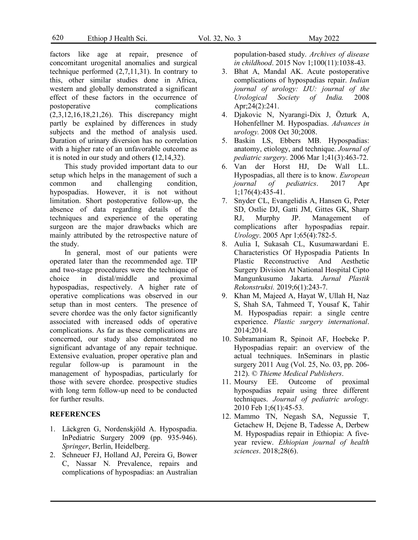factors like age at repair, presence of concomitant urogenital anomalies and surgical technique performed (2,7,11,31). In contrary to this, other similar studies done in Africa, western and globally demonstrated a significant effect of these factors in the occurrence of postoperative complications (2,3,12,16,18,21,26). This discrepancy might partly be explained by differences in study subjects and the method of analysis used. Duration of urinary diversion has no correlation with a higher rate of an unfavorable outcome as it is noted in our study and others **(**12,14,32).

This study provided important data to our setup which helps in the management of such a common and challenging condition, hypospadias. However, it is not without limitation. Short postoperative follow-up, the absence of data regarding details of the techniques and experience of the operating surgeon are the major drawbacks which are mainly attributed by the retrospective nature of the study.

In general, most of our patients were operated later than the recommended age. TIP and two-stage procedures were the technique of choice in distal/middle and proximal hypospadias, respectively. A higher rate of operative complications was observed in our setup than in most centers. The presence of severe chordee was the only factor significantly associated with increased odds of operative complications. As far as these complications are concerned, our study also demonstrated no significant advantage of any repair technique. Extensive evaluation, proper operative plan and regular follow-up is paramount in the management of hypospadias, particularly for those with severe chordee. prospective studies with long term follow-up need to be conducted for further results.

### **REFERENCES**

- 1. Läckgren G, Nordenskjöld A. Hypospadia. InPediatric Surgery 2009 (pp. 935-946). *Springer*, Berlin, Heidelberg.
- 2. Schneuer FJ, Holland AJ, Pereira G, Bower C, Nassar N. Prevalence, repairs and complications of hypospadias: an Australian

population-based study. *Archives of disease in childhood*. 2015 Nov 1;100(11):1038-43.

- 3. Bhat A, Mandal AK. Acute postoperative complications of hypospadias repair. *Indian journal of urology: IJU: journal of the Urological Society of India.* 2008 Apr;24(2):241.
- 4. Djakovic N, Nyarangi-Dix J, Özturk A, Hohenfellner M. Hypospadias. *Advances in urology.* 2008 Oct 30;2008.
- 5. Baskin LS, Ebbers MB. Hypospadias: anatomy, etiology, and technique. *Journal of pediatric surgery*. 2006 Mar 1;41(3):463-72.
- 6. Van der Horst HJ, De Wall LL. Hypospadias, all there is to know. *European journal of pediatrics*. 2017 Apr 1;176(4):435-41.
- 7. Snyder CL, Evangelidis A, Hansen G, Peter SD, Ostlie DJ, Gatti JM, Gittes GK, Sharp RJ, Murphy JP. Management of complications after hypospadias repair. *Urology*. 2005 Apr 1;65(4):782-5.
- 8. Aulia I, Sukasah CL, Kusumawardani E. Characteristics Of Hypospadia Patients In Plastic Reconstructive And Aesthetic Surgery Division At National Hospital Cipto Mangunkusumo Jakarta. *Jurnal Plastik Rekonstruksi.* 2019;6(1):243-7.
- 9. Khan M, Majeed A, Hayat W, Ullah H, Naz S, Shah SA, Tahmeed T, Yousaf K, Tahir M. Hypospadias repair: a single centre experience. *Plastic surgery international*. 2014;2014.
- 10. Subramaniam R, Spinoit AF, Hoebeke P. Hypospadias repair: an overview of the actual techniques. InSeminars in plastic surgery 2011 Aug (Vol. 25, No. 03, pp. 206- 212). © *Thieme Medical Publishers*.
- 11. Moursy EE. Outcome of proximal hypospadias repair using three different techniques. *Journal of pediatric urology.* 2010 Feb 1;6(1):45-53.
- 12. Mammo TN, Negash SA, Negussie T, Getachew H, Dejene B, Tadesse A, Derbew M. Hypospadias repair in Ethiopia: A fiveyear review. *Ethiopian journal of health sciences*. 2018;28(6).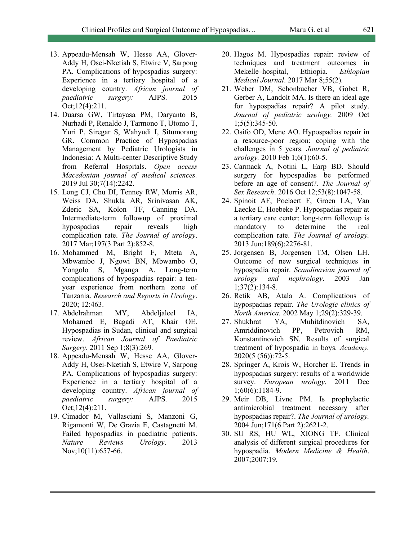- 13. Appeadu-Mensah W, Hesse AA, Glover-Addy H, Osei-Nketiah S, Etwire V, Sarpong PA. Complications of hypospadias surgery: Experience in a tertiary hospital of a developing country. *African journal of paediatric surgery:* AJPS. 2015 Oct;12(4):211.
- 14. Duarsa GW, Tirtayasa PM, Daryanto B, Nurhadi P, Renaldo J, Tarmono T, Utomo T, Yuri P, Siregar S, Wahyudi I, Situmorang GR. Common Practice of Hypospadias Management by Pediatric Urologists in Indonesia: A Multi-center Descriptive Study from Referral Hospitals. *Open access Macedonian journal of medical sciences.* 2019 Jul 30;7(14):2242.
- 15. Long CJ, Chu DI, Tenney RW, Morris AR, Weiss DA, Shukla AR, Srinivasan AK, Zderic SA, Kolon TF, Canning DA. Intermediate-term followup of proximal hypospadias repair reveals high complication rate. *The Journal of urology*. 2017 Mar;197(3 Part 2):852-8.
- 16. Mohammed M, Bright F, Mteta A, Mbwambo J, Ngowi BN, Mbwambo O, Yongolo S, Mganga A. Long-term complications of hypospadias repair: a tenyear experience from northern zone of Tanzania. *Research and Reports in Urology*. 2020; 12:463.
- 17. Abdelrahman MY, Abdeljaleel IA, Mohamed E, Bagadi AT, Khair OE. Hypospadias in Sudan, clinical and surgical review. *African Journal of Paediatric Surgery.* 2011 Sep 1;8(3):269.
- 18. Appeadu-Mensah W, Hesse AA, Glover-Addy H, Osei-Nketiah S, Etwire V, Sarpong PA. Complications of hypospadias surgery: Experience in a tertiary hospital of a developing country. *African journal of paediatric surgery:* AJPS. 2015 Oct;12(4):211.
- 19. Cimador M, Vallasciani S, Manzoni G, Rigamonti W, De Grazia E, Castagnetti M. Failed hypospadias in paediatric patients. *Nature Reviews Urology*. 2013 Nov;10(11):657-66.
- 20. Hagos M. Hypospadias repair: review of techniques and treatment outcomes in Mekelle–hospital, Ethiopia. *Ethiopian Medical Journal*. 2017 Mar 8;55(2).
- 21. Weber DM, Schonbucher VB, Gobet R, Gerber A, Landolt MA. Is there an ideal age for hypospadias repair? A pilot study. *Journal of pediatric urology.* 2009 Oct 1;5(5):345-50.
- 22. Osifo OD, Mene AO. Hypospadias repair in a resource-poor region: coping with the challenges in 5 years. *Journal of pediatric urology.* 2010 Feb 1;6(1):60-5.
- 23. Carmack A, Notini L, Earp BD. Should surgery for hypospadias be performed before an age of consent?. *The Journal of Sex Research*. 2016 Oct 12;53(8):1047-58.
- 24. Spinoit AF, Poelaert F, Groen LA, Van Laecke E, Hoebeke P. Hypospadias repair at a tertiary care center: long-term followup is mandatory to determine the real complication rate. *The Journal of urology.* 2013 Jun;189(6):2276-81.
- 25. Jorgensen B, Jorgensen TM, Olsen LH. Outcome of new surgical techniques in hypospadia repair. *Scandinavian journal of urology and nephrology*. 2003 Jan 1;37(2):134-8.
- 26. Retik AB, Atala A. Complications of hypospadias repair. *The Urologic clinics of North America.* 2002 May 1;29(2):329-39.
- 27. Shukhrat YA, Muhitdinovich SA, Amriddinovich PP, Petrovich RM, Konstantinovich SN. Results of surgical treatment of hypospadia in boys. *Academy.* 2020(5 (56)):72-5.
- 28. Springer A, Krois W, Horcher E. Trends in hypospadias surgery: results of a worldwide survey. *European urology*. 2011 Dec 1;60(6):1184-9.
- 29. Meir DB, Livne PM. Is prophylactic antimicrobial treatment necessary after hypospadias repair?. *The Journal of urology.* 2004 Jun;171(6 Part 2):2621-2.
- 30. SU RS, HU WL, XIONG TF. Clinical analysis of different surgical procedures for hypospadia. *Modern Medicine & Health*. 2007;2007:19.